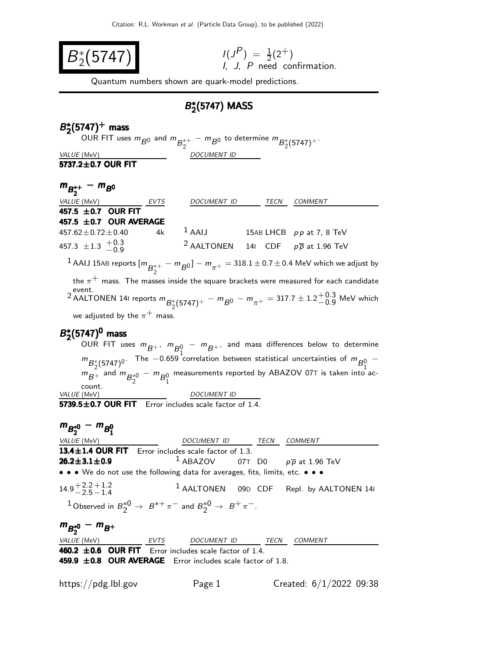

$$
I(JP) = \frac{1}{2}(2+)
$$
  
I, J, P need confirmation.

Quantum numbers shown are quark-model predictions.

### $B^*_{\sigma}$  $_{2}^{\ast}$ (5747) MASS

#### B ∗  $B_2^*(5747)^+$  mass  $B_2^*(5747)^+$  mass

OUR FIT uses  $m_{\overline{B^0_0}}$  and  $m_{\overline{B_2^{*+}}} - m_{\overline{B^0_0}}$  to determine  $m_{\overline{B_2^{*}(5747)^+}}$ . VALUE (MeV) DOCUMENT ID

 $\overline{5737.2 \pm 0.7}$  OUR FIT

## $m_{B_2^{*+}} - m_{B_0}$

| ້ິ                                  |      |                                                           |      |                            |
|-------------------------------------|------|-----------------------------------------------------------|------|----------------------------|
| <i>VALUE</i> (MeV)                  | EVTS | <b>DOCUMENT ID</b>                                        | TECN | COMMENT                    |
| 457.5 $\pm$ 0.7 OUR FIT             |      |                                                           |      |                            |
| 457.5 $\pm$ 0.7 OUR AVERAGE         |      |                                                           |      |                            |
| $457.62 \pm 0.72 \pm 0.40$          | 4k   | $1$ AAIJ                                                  |      | 15AB LHCB $pp$ at 7, 8 TeV |
| 457.3 $\pm$ 1.3 $\frac{+0.3}{-0.9}$ |      | <sup>2</sup> AALTONEN 141 CDF $p\overline{p}$ at 1.96 TeV |      |                            |
|                                     |      |                                                           |      |                            |

 $^1$  AAIJ 15AB reports  $[m_{\overline{B}^{*+}_2}]$  $\binom{10}{2} - m_{\pi^+} = 318.1 \pm 0.7 \pm 0.4$  MeV which we adjust by the  $\pi^+$  mass. The masses inside the square brackets were measured for each candidate event.

2 AALTONEN 141 reports  $m_{B_2^* (5747)^+} - m_{B^0} - m_{\pi^+} = 317.7 \pm 1.2^{+0.3}_{-0.9}$  $^{+0.9}_{-0.9}$  MeV which we adjusted by the  $\pi^+$  mass.

### $B_2^*$  $B_2^*(5747)^0$  mass

OUR FIT uses  $m_{\overline{B}^+}$ ,  $m_{\overline{B}^0_1}$   $m_{\overline{B}^+}$ , and mass differences below to determine  $m_{B_2^*(5747)^0}$ . The −0.659 correlation between statistical uncertainties of  $m_{B_1^0}$ −  $m_{B_+}$  and  $m_{B_2^{*0}} - m_{B_1^0}$ measurements reported by ABAZOV 07T is taken into account.<br>VALUE (MeV) DOCUMENT ID

 $5739.5 \pm 0.7$  OUR FIT Error includes scale factor of 1.4.

# $m_{B_2^{*0}} - m_{B_1^0}$

| <i>VALUE</i> (MeV)               |                                                                                                                                            | DOCUMENT ID TECN | <i>COMMENT</i>                                         |  |
|----------------------------------|--------------------------------------------------------------------------------------------------------------------------------------------|------------------|--------------------------------------------------------|--|
|                                  | 13.4±1.4 OUR FIT Error includes scale factor of 1.3.                                                                                       |                  |                                                        |  |
| $26.2 \pm 3.1 \pm 0.9$           |                                                                                                                                            |                  | <sup>1</sup> ABAZOV 07T D0 $p\overline{p}$ at 1.96 TeV |  |
|                                  | $\bullet \bullet \bullet$ We do not use the following data for averages, fits, limits, etc. $\bullet \bullet \bullet$                      |                  |                                                        |  |
| $14.9 + 2.2 + 1.2$<br>-2.5 - 1.4 |                                                                                                                                            |                  | <sup>1</sup> AALTONEN 09D CDF Repl. by AALTONEN 141    |  |
|                                  | <sup>1</sup> Observed in $B_2^{\ast}$ <sup>0</sup> $\rightarrow$ $B^{\ast+}\pi^-$ and $B_2^{\ast}$ <sup>0</sup> $\rightarrow$ $B^+\pi^-$ . |                  |                                                        |  |
| $m_{B_2^{*0}} - m_{B^+}$         |                                                                                                                                            |                  |                                                        |  |
|                                  | VALUE (MeV) EVTS DOCUMENT ID TECN                                                                                                          |                  | COMMENT                                                |  |
|                                  | 460.2 $\pm$ 0.6 OUR FIT Error includes scale factor of 1.4.                                                                                |                  |                                                        |  |
|                                  |                                                                                                                                            |                  |                                                        |  |

459.9  $\pm$ 0.8 OUR AVERAGE Error includes scale factor of 1.8.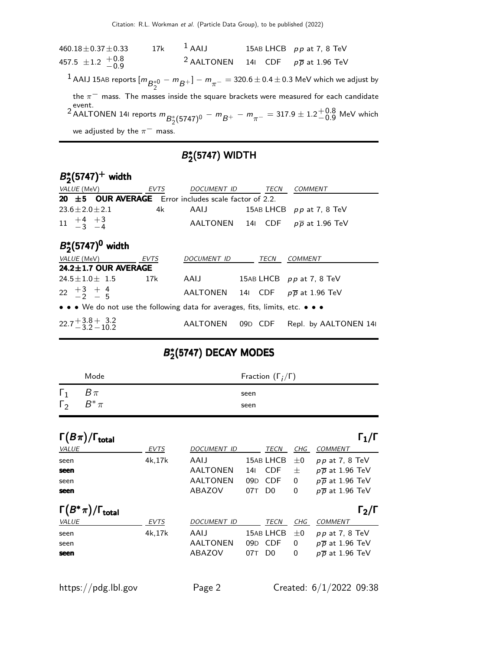$460.18 \pm 0.37 \pm 0.33$  17k <sup>1</sup> AAIJ 15AB LHCB pp at 7, 8 TeV  $457.5 \pm 1.2 +0.8$  $-0.9$ <sup>2</sup> AALTONEN 14I CDF  $p\overline{p}$  at 1.96 TeV  $^1$  AAIJ 15AB reports  $[m_{\overline{B}^{*0}_{2}} - m_{\overline{B}^+}] - m_{\pi^-} =$  320.6  $\pm$  0.4  $\pm$  0.3 MeV which we adjust by the  $\pi^-$  mass. The masses inside the square brackets were measured for each candidate 2 AALTONEN 141 reports  $m_{B_2^* (5747)^0} - m_{B^+} - m_{\pi^-} = 317.9 \pm 1.2^{+0.8}_{-0.9}$  $^{+0.0}_{-0.9}$  MeV which we adjusted by the  $\pi^-$  mass.

### B ∗  $2(5747)$  WIDTH

| $B_2^*(5747)^+$ width                                                                                                 |       |                  |         |      |                                              |  |  |  |
|-----------------------------------------------------------------------------------------------------------------------|-------|------------------|---------|------|----------------------------------------------|--|--|--|
| VALUE (MeV) EVTS                                                                                                      |       | DOCUMENT ID TECN |         |      | <b>COMMENT</b>                               |  |  |  |
| 20 $\pm$ 5 OUR AVERAGE Error includes scale factor of 2.2.                                                            |       |                  |         |      |                                              |  |  |  |
| $23.6 + 2.0 + 2.1$                                                                                                    | 4k l  | AAIJ             |         |      | 15AB LHCB $pp$ at 7, 8 TeV                   |  |  |  |
| $\begin{array}{ccc} 11 & +4 & +3 \\ -3 & -4 \end{array}$                                                              |       |                  |         |      | AALTONEN 141 CDF $p\overline{p}$ at 1.96 TeV |  |  |  |
| $B_2^*(5747)^0$ width                                                                                                 |       |                  |         |      |                                              |  |  |  |
| VALUE (MeV) EVTS                                                                                                      |       | DOCUMENT ID      |         | TECN | <b>COMMENT</b>                               |  |  |  |
| $24.2 \pm 1.7$ OUR AVERAGE                                                                                            |       |                  |         |      |                                              |  |  |  |
| $24.5 + 1.0 + 1.5$                                                                                                    | - 17k | AAIJ             |         |      | 15AB LHCB pp at 7, 8 TeV                     |  |  |  |
| $22 \tfrac{+3}{-2} + \tfrac{4}{5}$                                                                                    |       |                  |         |      | AALTONEN 141 CDF $p\overline{p}$ at 1.96 TeV |  |  |  |
| $\bullet \bullet \bullet$ We do not use the following data for averages, fits, limits, etc. $\bullet \bullet \bullet$ |       |                  |         |      |                                              |  |  |  |
| $22.7 + 3.8 + 3.2$<br>3.2 – 3.2 – 10.2                                                                                |       | AALTONEN         | 09D CDF |      | Repl. by AALTONEN 14                         |  |  |  |

### B ∗  $_{2}^{\ast}$ (5747) DECAY MODES

|                                   | Mode     | Fraction $(\Gamma_i/\Gamma)$ |
|-----------------------------------|----------|------------------------------|
| $\Gamma_1$<br>$\Gamma_2$ $B^*\pi$ | $B\,\pi$ | seen<br>seen                 |

| $\Gamma(B\pi)/\Gamma_{\rm total}$   |        |                    |     |                |          | $\mathsf{\Gamma_1}/\mathsf{\Gamma}$ |
|-------------------------------------|--------|--------------------|-----|----------------|----------|-------------------------------------|
| VALUE                               | EVTS   | <b>DOCUMENT ID</b> |     | TECN           | CHG      | <b>COMMENT</b>                      |
| seen                                | 4k.17k | AAIJ               |     | 15AB LHCB      | $\pm 0$  | $pp$ at 7, 8 TeV                    |
| seen                                |        | AALTONEN           | 14  | <b>CDF</b>     | 士        | $p\overline{p}$ at 1.96 TeV         |
| seen                                |        | AALTONEN           | 09D | <b>CDF</b>     | 0        | $p\overline{p}$ at 1.96 TeV         |
| seen                                |        | ABAZOV             | 07T | D <sub>0</sub> | 0        | $p\overline{p}$ at 1.96 TeV         |
| $\Gamma(B^*\pi)/\Gamma_{\rm total}$ |        |                    |     |                |          | $\Gamma_2/\Gamma$                   |
| VALUE                               | EVTS   | <b>DOCUMENT ID</b> |     | TECN           | CHG      | <b>COMMENT</b>                      |
| seen                                | 4k.17k | AAIJ               |     | 15AB LHCB      | $\pm 0$  | $pp$ at 7, 8 TeV                    |
| seen                                |        | <b>AALTONEN</b>    | 09D | <b>CDF</b>     | 0        | $p\overline{p}$ at 1.96 TeV         |
| seen                                |        | ABAZOV             | 07T | D <sub>0</sub> | $\Omega$ | $p\overline{p}$ at 1.96 TeV         |